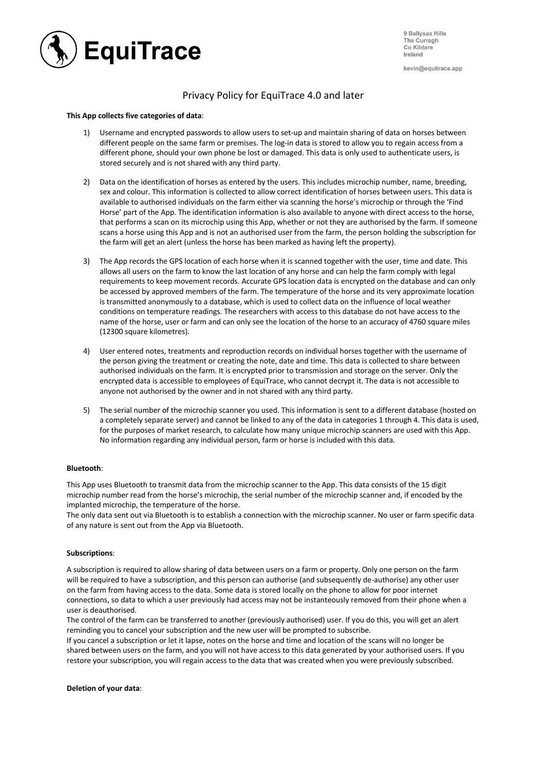

9 Ballysax Hills The Curragh Co Kildare Ireland

kevin@equitrace.app

# Privacy Policy for EquiTrace 4.0 and later

## **This App collects five categories of data**:

- 1) Username and encrypted passwords to allow users to set-up and maintain sharing of data on horses between different people on the same farm or premises. The log-in data is stored to allow you to regain access from a different phone, should your own phone be lost or damaged. This data is only used to authenticate users, is stored securely and is not shared with any third party.
- 2) Data on the identification of horses as entered by the users. This includes microchip number, name, breeding, sex and colour. This information is collected to allow correct identification of horses between users. This data is available to authorised individuals on the farm either via scanning the horse's microchip or through the 'Find Horse' part of the App. The identification information is also available to anyone with direct access to the horse, that performs a scan on its microchip using this App, whether or not they are authorised by the farm. If someone scans a horse using this App and is not an authorised user from the farm, the person holding the subscription for the farm will get an alert (unless the horse has been marked as having left the property).
- 3) The App records the GPS location of each horse when it is scanned together with the user, time and date. This allows all users on the farm to know the last location of any horse and can help the farm comply with legal requirements to keep movement records. Accurate GPS location data is encrypted on the database and can only be accessed by approved members of the farm. The temperature of the horse and its very approximate location is transmitted anonymously to a database, which is used to collect data on the influence of local weather conditions on temperature readings. The researchers with access to this database do not have access to the name of the horse, user or farm and can only see the location of the horse to an accuracy of 4760 square miles (12300 square kilometres).
- 4) User entered notes, treatments and reproduction records on individual horses together with the username of the person giving the treatment or creating the note, date and time. This data is collected to share between authorised individuals on the farm. It is encrypted prior to transmission and storage on the server. Only the encrypted data is accessible to employees of EquiTrace, who cannot decrypt it. The data is not accessible to anyone not authorised by the owner and in not shared with any third party.
- 5) The serial number of the microchip scanner you used. This information is sent to a different database (hosted on a completely separate server) and cannot be linked to any of the data in categories 1 through 4. This data is used, for the purposes of market research, to calculate how many unique microchip scanners are used with this App. No information regarding any individual person, farm or horse is included with this data.

## **Bluetooth**:

This App uses Bluetooth to transmit data from the microchip scanner to the App. This data consists of the 15 digit microchip number read from the horse's microchip, the serial number of the microchip scanner and, if encoded by the implanted microchip, the temperature of the horse.

The only data sent out via Bluetooth is to establish a connection with the microchip scanner. No user or farm specific data of any nature is sent out from the App via Bluetooth.

### **Subscriptions**:

A subscription is required to allow sharing of data between users on a farm or property. Only one person on the farm will be required to have a subscription, and this person can authorise (and subsequently de-authorise) any other user on the farm from having access to the data. Some data is stored locally on the phone to allow for poor internet connections, so data to which a user previously had access may not be instanteously removed from their phone when a user is deauthorised.

The control of the farm can be transferred to another (previously authorised) user. If you do this, you will get an alert reminding you to cancel your subscription and the new user will be prompted to subscribe.

If you cancel a subscription or let it lapse, notes on the horse and time and location of the scans will no longer be shared between users on the farm, and you will not have access to this data generated by your authorised users. If you restore your subscription, you will regain access to the data that was created when you were previously subscribed.

### **Deletion of your data**: